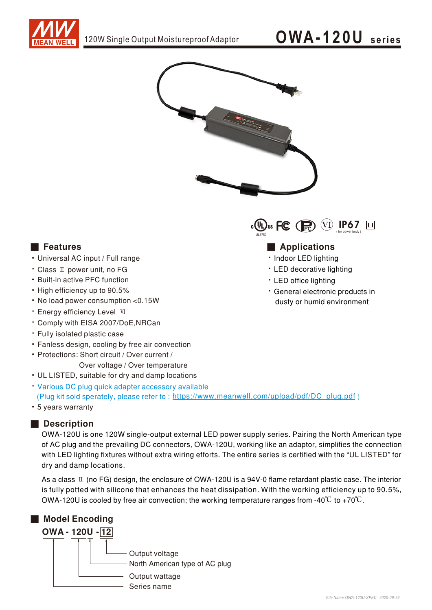

## OWA-120U series



#### **Features**

- Universal AC input / Full range
- Class II power unit, no FG
- Built-in active PFC function
- High efficiency up to 90.5%
- No load power consumption <0.15W
- · Energy efficiency Level VI
- \* Comply with EISA 2007/DoE.NRCan
- · Fully isolated plastic case
- Fanless design, cooling by free air convection
- Protections: Short circuit / Over current / Over voltage / Over temperature
- UL LISTED, suitable for dry and damp locations
- Various DC plug quick adapter accessory available (Plug kit sold sperately, please refer to: https://www.meanwell.com/upload/pdf/DC\_plug.pdf)
- 5 years warranty

### Description

OWA-120U is one 120W single-output external LED power supply series. Pairing the North American type of AC plug and the prevailing DC connectors, OWA-120U, working like an adaptor, simplifies the connection with LED lighting fixtures without extra wiring efforts. The entire series is certified with the "UL LISTED" for dry and damp locations.

As a class  $\mathbb I$  (no FG) design, the enclosure of OWA-120U is a 94V-0 flame retardant plastic case. The interior is fully potted with silicone that enhances the heat dissipation. With the working efficiency up to 90.5%, OWA-120U is cooled by free air convection; the working temperature ranges from -40°C to +70°C.





### **Applications**

- · Indoor LED lighting
- LED decorative lighting
- LED office lighting
- · General electronic products in dusty or humid environment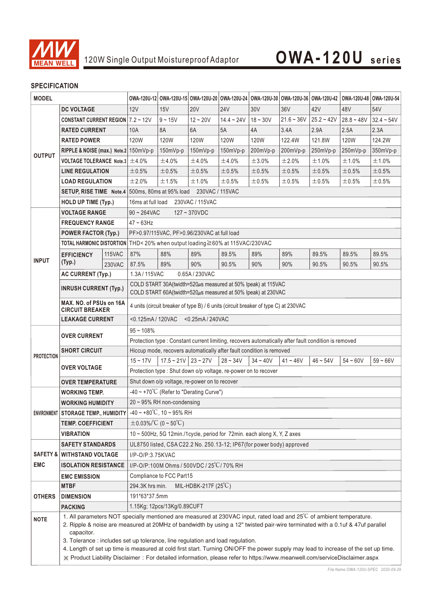

### **SPECIFICATION**

| <b>MODEL</b>      |                                                                                                                                                                                                                                                                                                                                                                                                                                                                                                                                                                                                                         |               |                                                                                                      |                       | OWA-120U-12 OWA-120U-15 OWA-120U-20 OWA-120U-24 OWA-120U-30 OWA-120U-36 OWA-120U-42 OWA-120U-48 OWA-120U-54 |              |             |              |              |              |              |
|-------------------|-------------------------------------------------------------------------------------------------------------------------------------------------------------------------------------------------------------------------------------------------------------------------------------------------------------------------------------------------------------------------------------------------------------------------------------------------------------------------------------------------------------------------------------------------------------------------------------------------------------------------|---------------|------------------------------------------------------------------------------------------------------|-----------------------|-------------------------------------------------------------------------------------------------------------|--------------|-------------|--------------|--------------|--------------|--------------|
| <b>DC VOLTAGE</b> |                                                                                                                                                                                                                                                                                                                                                                                                                                                                                                                                                                                                                         | 12V           | 15V                                                                                                  | <b>20V</b>            | <b>24V</b>                                                                                                  | 30V          | 36V         | 42V          | 48V          | 54V          |              |
| <b>OUTPUT</b>     | <b>CONSTANT CURRENT REGION</b> $7.2 \sim 12V$                                                                                                                                                                                                                                                                                                                                                                                                                                                                                                                                                                           |               |                                                                                                      | $9 - 15V$             | $12 - 20V$                                                                                                  | $14.4 - 24V$ | $18 - 30V$  | $21.6 - 36V$ | $25.2 - 42V$ | $28.8 - 48V$ | $32.4 - 54V$ |
|                   | <b>RATED CURRENT</b>                                                                                                                                                                                                                                                                                                                                                                                                                                                                                                                                                                                                    |               | 10A                                                                                                  | 8A                    | 6A                                                                                                          | 5A           | 4A          | 3.4A         | 2.9A         | 2.5A         | 2.3A         |
|                   | <b>RATED POWER</b>                                                                                                                                                                                                                                                                                                                                                                                                                                                                                                                                                                                                      |               | 120W                                                                                                 | 120W                  | 120W                                                                                                        | <b>120W</b>  | <b>120W</b> | 122.4W       | 121.8W       | 120W         | 124.2W       |
|                   | RIPPLE & NOISE (max.) Note.2 150mVp-p                                                                                                                                                                                                                                                                                                                                                                                                                                                                                                                                                                                   |               |                                                                                                      | 150mVp-p              | 150mVp-p                                                                                                    | 150mVp-p     | 200mVp-p    | 200mVp-p     | 250mVp-p     | 250mVp-p     | 350mVp-p     |
|                   | VOLTAGE TOLERANCE Note.3 $\pm$ 4.0%                                                                                                                                                                                                                                                                                                                                                                                                                                                                                                                                                                                     |               |                                                                                                      | ±4.0%                 | ±4.0%                                                                                                       | ±4.0%        | ±3.0%       | ±2.0%        | ±1.0%        | ±1.0%        | ±1.0%        |
|                   | <b>LINE REGULATION</b>                                                                                                                                                                                                                                                                                                                                                                                                                                                                                                                                                                                                  |               | $\pm 0.5\%$                                                                                          | ±0.5%                 | ±0.5%                                                                                                       | ±0.5%        | $\pm 0.5\%$ | ±0.5%        | ±0.5%        | ±0.5%        | $\pm 0.5\%$  |
|                   | <b>LOAD REGULATION</b>                                                                                                                                                                                                                                                                                                                                                                                                                                                                                                                                                                                                  |               | ±2.0%                                                                                                | ±1.5%                 | ±1.0%                                                                                                       | ±0.5%        | $\pm 0.5\%$ | ±0.5%        | ±0.5%        | ±0.5%        | $\pm 0.5\%$  |
|                   |                                                                                                                                                                                                                                                                                                                                                                                                                                                                                                                                                                                                                         |               | <b>SETUP, RISE TIME</b> Note.4 500ms, 80ms at 95% load 230VAC / 115VAC                               |                       |                                                                                                             |              |             |              |              |              |              |
|                   | <b>HOLD UP TIME (Typ.)</b>                                                                                                                                                                                                                                                                                                                                                                                                                                                                                                                                                                                              |               | 230VAC / 115VAC<br>16ms at full load                                                                 |                       |                                                                                                             |              |             |              |              |              |              |
|                   | <b>VOLTAGE RANGE</b>                                                                                                                                                                                                                                                                                                                                                                                                                                                                                                                                                                                                    |               | $90 \sim 264$ VAC<br>$127 - 370VDC$                                                                  |                       |                                                                                                             |              |             |              |              |              |              |
| <b>INPUT</b>      | <b>FREQUENCY RANGE</b>                                                                                                                                                                                                                                                                                                                                                                                                                                                                                                                                                                                                  |               | $47 - 63$ Hz                                                                                         |                       |                                                                                                             |              |             |              |              |              |              |
|                   | <b>POWER FACTOR (Typ.)</b>                                                                                                                                                                                                                                                                                                                                                                                                                                                                                                                                                                                              |               | PF>0.97/115VAC, PF>0.96/230VAC at full load                                                          |                       |                                                                                                             |              |             |              |              |              |              |
|                   |                                                                                                                                                                                                                                                                                                                                                                                                                                                                                                                                                                                                                         |               | TOTAL HARMONIC DISTORTION THD< 20% when output loading ≥60% at 115VAC/230VAC                         |                       |                                                                                                             |              |             |              |              |              |              |
|                   | <b>EFFICIENCY</b><br>(Typ.)                                                                                                                                                                                                                                                                                                                                                                                                                                                                                                                                                                                             | <b>115VAC</b> | 87%                                                                                                  | 88%                   | 89%                                                                                                         | 89.5%        | 89%         | 89%          | 89.5%        | 89.5%        | 89.5%        |
|                   |                                                                                                                                                                                                                                                                                                                                                                                                                                                                                                                                                                                                                         | 230VAC        | 87.5%                                                                                                | 89%                   | 90%                                                                                                         | 90.5%        | 90%         | 90%          | 90.5%        | 90.5%        | 90.5%        |
|                   | <b>AC CURRENT (Typ.)</b>                                                                                                                                                                                                                                                                                                                                                                                                                                                                                                                                                                                                |               | 1.3A/115VAC<br>0.65A/230VAC                                                                          |                       |                                                                                                             |              |             |              |              |              |              |
|                   | <b>INRUSH CURRENT (Typ.)</b>                                                                                                                                                                                                                                                                                                                                                                                                                                                                                                                                                                                            |               | COLD START 30A(twidth=520µs measured at 50% Ipeak) at 115VAC                                         |                       |                                                                                                             |              |             |              |              |              |              |
|                   |                                                                                                                                                                                                                                                                                                                                                                                                                                                                                                                                                                                                                         |               | COLD START 60A(twidth=520µs measured at 50% Ipeak) at 230VAC                                         |                       |                                                                                                             |              |             |              |              |              |              |
|                   | MAX. NO. of PSUs on 16A<br><b>CIRCUIT BREAKER</b>                                                                                                                                                                                                                                                                                                                                                                                                                                                                                                                                                                       |               | 4 units (circuit breaker of type B) / 6 units (circuit breaker of type C) at 230VAC                  |                       |                                                                                                             |              |             |              |              |              |              |
|                   | <b>LEAKAGE CURRENT</b>                                                                                                                                                                                                                                                                                                                                                                                                                                                                                                                                                                                                  |               | <0.125mA / 120VAC<br><0.25mA / 240VAC                                                                |                       |                                                                                                             |              |             |              |              |              |              |
| <b>PROTECTION</b> | <b>OVER CURRENT</b>                                                                                                                                                                                                                                                                                                                                                                                                                                                                                                                                                                                                     |               | $95 - 108%$                                                                                          |                       |                                                                                                             |              |             |              |              |              |              |
|                   |                                                                                                                                                                                                                                                                                                                                                                                                                                                                                                                                                                                                                         |               | Protection type : Constant current limiting, recovers automatically after fault condition is removed |                       |                                                                                                             |              |             |              |              |              |              |
|                   | <b>SHORT CIRCUIT</b>                                                                                                                                                                                                                                                                                                                                                                                                                                                                                                                                                                                                    |               | Hiccup mode, recovers automatically after fault condition is removed                                 |                       |                                                                                                             |              |             |              |              |              |              |
|                   |                                                                                                                                                                                                                                                                                                                                                                                                                                                                                                                                                                                                                         |               | $15 - 17V$                                                                                           | $17.5 - 21V$ 23 ~ 27V |                                                                                                             | $28 - 34V$   | $34 - 40V$  | $41 - 46V$   | $46 - 54V$   | $54 - 60V$   | $59 - 66V$   |
|                   | <b>OVER VOLTAGE</b>                                                                                                                                                                                                                                                                                                                                                                                                                                                                                                                                                                                                     |               | Protection type : Shut down o/p voltage, re-power on to recover                                      |                       |                                                                                                             |              |             |              |              |              |              |
|                   | <b>OVER TEMPERATURE</b>                                                                                                                                                                                                                                                                                                                                                                                                                                                                                                                                                                                                 |               | Shut down o/p voltage, re-power on to recover                                                        |                       |                                                                                                             |              |             |              |              |              |              |
|                   | WORKING TEMP.                                                                                                                                                                                                                                                                                                                                                                                                                                                                                                                                                                                                           |               | $-40 \sim +70^{\circ}$ C (Refer to "Derating Curve")                                                 |                       |                                                                                                             |              |             |              |              |              |              |
|                   | <b>WORKING HUMIDITY</b>                                                                                                                                                                                                                                                                                                                                                                                                                                                                                                                                                                                                 |               | 20 ~ 95% RH non-condensing                                                                           |                       |                                                                                                             |              |             |              |              |              |              |
|                   | ENVIRONMENT   STORAGE TEMP., HUMIDITY                                                                                                                                                                                                                                                                                                                                                                                                                                                                                                                                                                                   |               | $-40 \sim +80^{\circ}$ C, 10 ~ 95% RH                                                                |                       |                                                                                                             |              |             |              |              |              |              |
|                   | TEMP. COEFFICIENT                                                                                                                                                                                                                                                                                                                                                                                                                                                                                                                                                                                                       |               | $\pm$ 0.03%/°C (0~50°C)                                                                              |                       |                                                                                                             |              |             |              |              |              |              |
|                   | <b>VIBRATION</b>                                                                                                                                                                                                                                                                                                                                                                                                                                                                                                                                                                                                        |               | 10 ~ 500Hz, 5G 12min./1cycle, period for 72min. each along X, Y, Z axes                              |                       |                                                                                                             |              |             |              |              |              |              |
|                   | <b>SAFETY STANDARDS</b>                                                                                                                                                                                                                                                                                                                                                                                                                                                                                                                                                                                                 |               | UL8750 listed, CSA C22.2 No. 250.13-12; IP67(for power body) approved                                |                       |                                                                                                             |              |             |              |              |              |              |
|                   | <b>SAFETY &amp; WITHSTAND VOLTAGE</b>                                                                                                                                                                                                                                                                                                                                                                                                                                                                                                                                                                                   |               | I/P-O/P:3.75KVAC                                                                                     |                       |                                                                                                             |              |             |              |              |              |              |
| <b>EMC</b>        | <b>ISOLATION RESISTANCE</b>                                                                                                                                                                                                                                                                                                                                                                                                                                                                                                                                                                                             |               | I/P-O/P:100M Ohms / 500VDC / 25°C/70% RH                                                             |                       |                                                                                                             |              |             |              |              |              |              |
|                   | <b>EMC EMISSION</b>                                                                                                                                                                                                                                                                                                                                                                                                                                                                                                                                                                                                     |               | Compliance to FCC Part15                                                                             |                       |                                                                                                             |              |             |              |              |              |              |
| <b>OTHERS</b>     | MTBF                                                                                                                                                                                                                                                                                                                                                                                                                                                                                                                                                                                                                    |               | 294.3K hrs min.<br>MIL-HDBK-217F $(25^{\circ}\text{C})$                                              |                       |                                                                                                             |              |             |              |              |              |              |
|                   | <b>DIMENSION</b>                                                                                                                                                                                                                                                                                                                                                                                                                                                                                                                                                                                                        |               | 191*63*37.5mm                                                                                        |                       |                                                                                                             |              |             |              |              |              |              |
|                   | <b>PACKING</b>                                                                                                                                                                                                                                                                                                                                                                                                                                                                                                                                                                                                          |               | 1.15Kg; 12pcs/13Kg/0.89CUFT                                                                          |                       |                                                                                                             |              |             |              |              |              |              |
| <b>NOTE</b>       | 1. All parameters NOT specially mentioned are measured at 230VAC input, rated load and 25°C of ambient temperature.<br>2. Ripple & noise are measured at 20MHz of bandwidth by using a 12" twisted pair-wire terminated with a 0.1uf & 47uf parallel<br>capacitor.<br>3. Tolerance : includes set up tolerance, line regulation and load regulation.<br>4. Length of set up time is measured at cold first start. Turning ON/OFF the power supply may lead to increase of the set up time.<br>※ Product Liability Disclaimer: For detailed information, please refer to https://www.meanwell.com/serviceDisclaimer.aspx |               |                                                                                                      |                       |                                                                                                             |              |             |              |              |              |              |
|                   |                                                                                                                                                                                                                                                                                                                                                                                                                                                                                                                                                                                                                         |               |                                                                                                      |                       |                                                                                                             |              |             |              |              |              |              |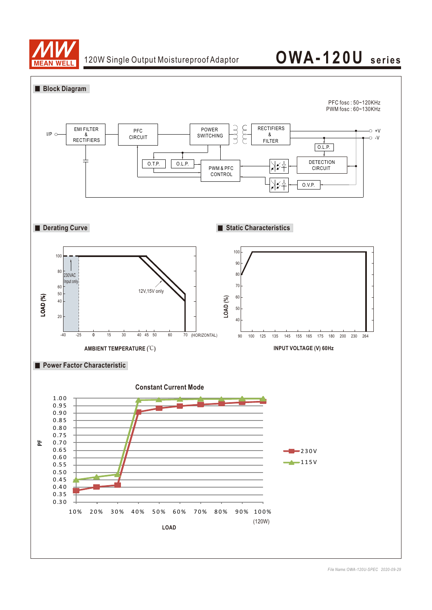

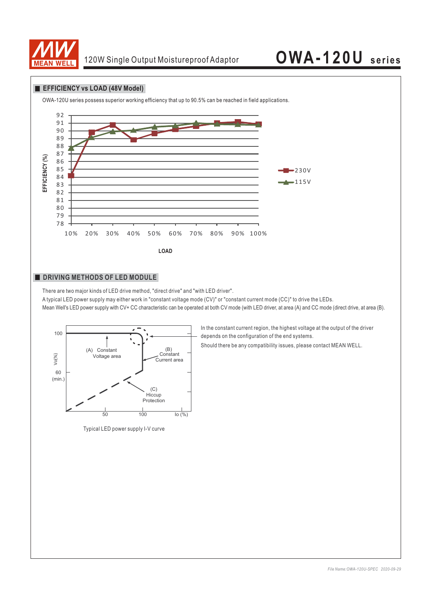

#### **EFFICIENCY vs LOAD (48V Model)**



#### **DRIVING METHODS OF LED MODULE**

There are two major kinds of LED drive method, "direct drive" and "with LED driver".

A typical LED power supply may either work in "constant voltage mode (CV)" or "constant current mode (CC)" to drive the LEDs. Mean Well's LED power supply with CV+ CC characteristic can be operated at both CV mode (with LED driver, at area (A) and CC mode (direct drive, at area (B).



Typical LED power supply I-V curve

In the constant current region, the highest voltage at the output of the driver depends on the configuration of the end systems.

Should there be any compatibility issues, please contact MEAN WELL.